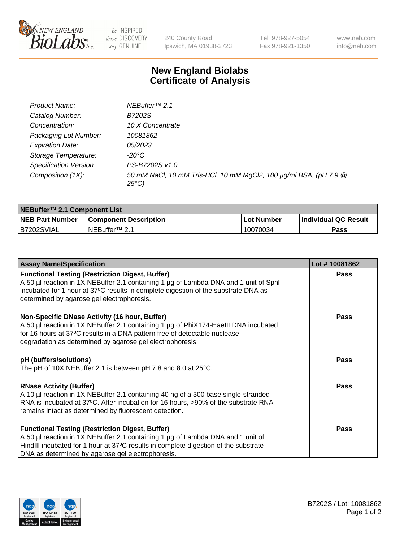

 $be$  INSPIRED drive DISCOVERY stay GENUINE

240 County Road Ipswich, MA 01938-2723 Tel 978-927-5054 Fax 978-921-1350 www.neb.com info@neb.com

## **New England Biolabs Certificate of Analysis**

| Product Name:           | NEBuffer <sup>™</sup> 2.1                                                          |
|-------------------------|------------------------------------------------------------------------------------|
| Catalog Number:         | B7202S                                                                             |
| Concentration:          | 10 X Concentrate                                                                   |
| Packaging Lot Number:   | 10081862                                                                           |
| <b>Expiration Date:</b> | <i>05/2023</i>                                                                     |
| Storage Temperature:    | -20°C                                                                              |
| Specification Version:  | PS-B7202S v1.0                                                                     |
| Composition (1X):       | 50 mM NaCl, 10 mM Tris-HCl, 10 mM MgCl2, 100 µg/ml BSA, (pH 7.9 @<br>$25^{\circ}C$ |

| NEBuffer™ 2.1 Component List |                              |              |                             |  |
|------------------------------|------------------------------|--------------|-----------------------------|--|
| <b>NEB Part Number</b>       | <b>Component Description</b> | . Lot Number | <b>Individual QC Result</b> |  |
| B7202SVIAL                   | NEBuffer™ 2.1                | 10070034     | <b>Pass</b>                 |  |

| <b>Assay Name/Specification</b>                                                                                                                                                                                                                                                       | Lot #10081862 |
|---------------------------------------------------------------------------------------------------------------------------------------------------------------------------------------------------------------------------------------------------------------------------------------|---------------|
| <b>Functional Testing (Restriction Digest, Buffer)</b><br>A 50 µl reaction in 1X NEBuffer 2.1 containing 1 µg of Lambda DNA and 1 unit of Sphl<br>incubated for 1 hour at 37°C results in complete digestion of the substrate DNA as<br>determined by agarose gel electrophoresis.    | <b>Pass</b>   |
| Non-Specific DNase Activity (16 hour, Buffer)<br>A 50 µl reaction in 1X NEBuffer 2.1 containing 1 µg of PhiX174-Haelll DNA incubated<br>for 16 hours at 37°C results in a DNA pattern free of detectable nuclease<br>degradation as determined by agarose gel electrophoresis.        | <b>Pass</b>   |
| pH (buffers/solutions)<br>The pH of 10X NEBuffer 2.1 is between pH 7.8 and 8.0 at $25^{\circ}$ C.                                                                                                                                                                                     | <b>Pass</b>   |
| <b>RNase Activity (Buffer)</b><br>A 10 µl reaction in 1X NEBuffer 2.1 containing 40 ng of a 300 base single-stranded<br>RNA is incubated at 37°C. After incubation for 16 hours, >90% of the substrate RNA<br>remains intact as determined by fluorescent detection.                  | <b>Pass</b>   |
| <b>Functional Testing (Restriction Digest, Buffer)</b><br>A 50 µl reaction in 1X NEBuffer 2.1 containing 1 µg of Lambda DNA and 1 unit of<br>HindIII incubated for 1 hour at 37°C results in complete digestion of the substrate<br>DNA as determined by agarose gel electrophoresis. | <b>Pass</b>   |